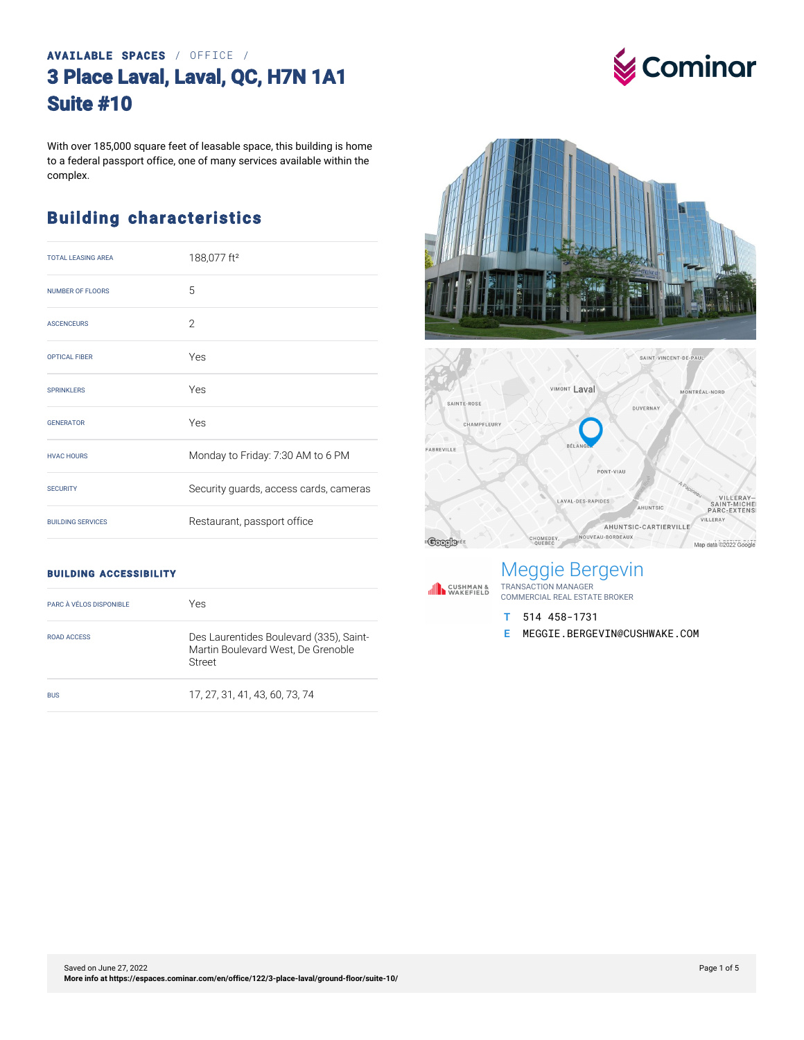#### **AVAILABLE SPACES** / OFFICE / **3 Place Laval, Laval, QC, H7N 1A1 Suite #10**

With over 185,000 square feet of leasable space, this building is home to a federal passport office, one of many services available within the complex.

#### **Building characteristics**

| <b>TOTAL LEASING AREA</b> | 188,077 ft <sup>2</sup>                |
|---------------------------|----------------------------------------|
| <b>NUMBER OF FLOORS</b>   | 5                                      |
| <b>ASCENCEURS</b>         | $\mathcal{P}$                          |
| <b>OPTICAL FIBER</b>      | Yes                                    |
| <b>SPRINKLERS</b>         | Yes                                    |
| <b>GENERATOR</b>          | Yes                                    |
| <b>HVAC HOURS</b>         | Monday to Friday: 7:30 AM to 6 PM      |
| <b>SECURITY</b>           | Security guards, access cards, cameras |
| <b>BUILDING SERVICES</b>  | Restaurant, passport office            |





#### **BUILDING ACCESSIBILITY**

| PARC À VÉLOS DISPONIBLE | Yes                                                                                     |
|-------------------------|-----------------------------------------------------------------------------------------|
| ROAD ACCESS             | Des Laurentides Boulevard (335), Saint-<br>Martin Boulevard West, De Grenoble<br>Street |
| <b>BUS</b>              | 17.27.31.41.43.60.73.74                                                                 |

### Meggie Bergevin

TRANSACTION MANAGER COMMERCIAL REAL ESTATE BROKER

**T** 514 458-1731

**IN CUSHMAN &**<br>
WAKEFIELD

**E** MEGGIE.BERGEVIN@CUSHWAKE.COM

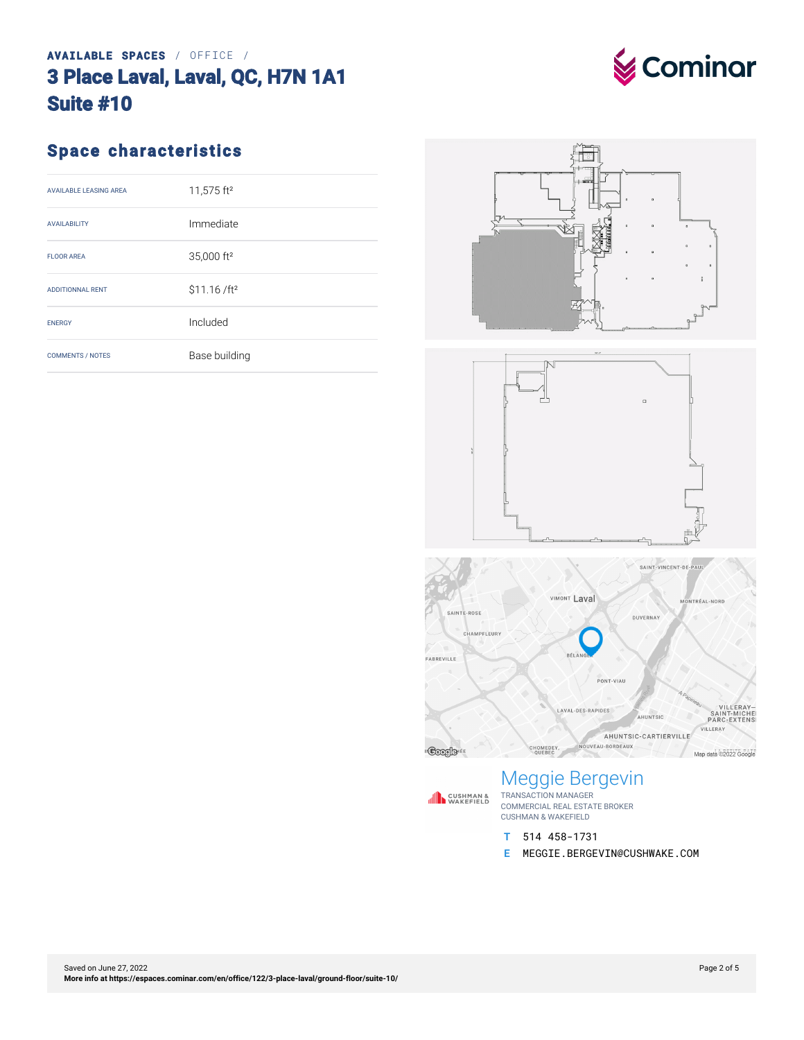### **AVAILABLE SPACES** / OFFICE / **3 Place Laval, Laval, QC, H7N 1A1 Suite #10**



#### **Space characteristics**

| <b>AVAILABLE LEASING AREA</b> | 11,575 ft <sup>2</sup>    |
|-------------------------------|---------------------------|
| <b>AVAILABILITY</b>           | Immediate                 |
| <b>FLOOR AREA</b>             | 35,000 ft <sup>2</sup>    |
| <b>ADDITIONNAL RENT</b>       | \$11.16 / ft <sup>2</sup> |
| <b>FNFRGY</b>                 | Included                  |
| <b>COMMENTS / NOTES</b>       | Base building             |







### Meggie Bergevin



**IN CUSHMAN &**<br>
WAKEFIELD

- **T** 514 458-1731
- **E** MEGGIE.BERGEVIN@CUSHWAKE.COM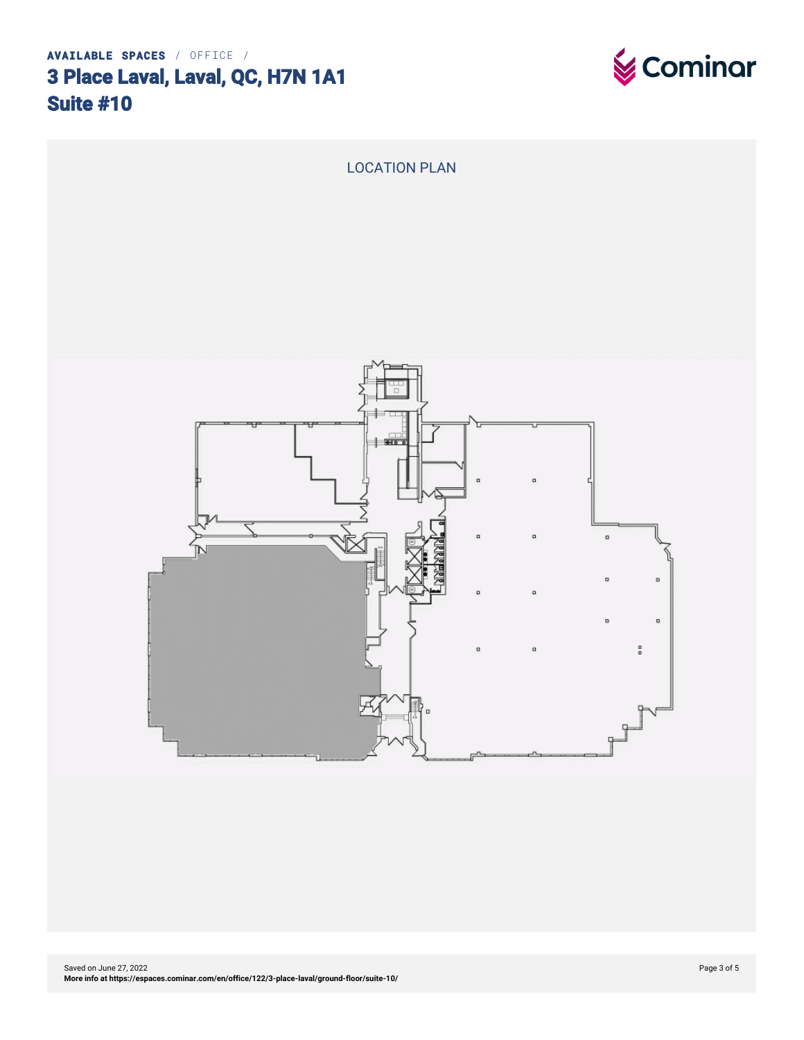# **3 Place Laval, Laval, QC, H7N 1A1 Suite #10**



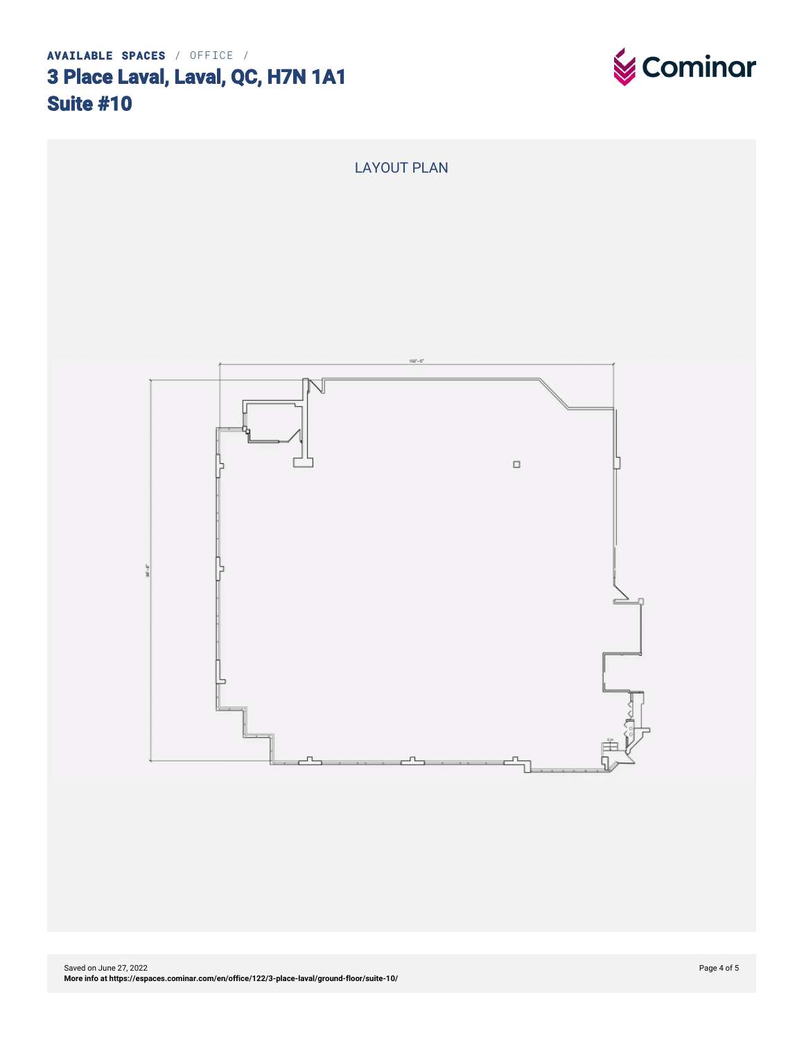## **3 Place Laval, Laval, QC, H7N 1A1 Suite #10**